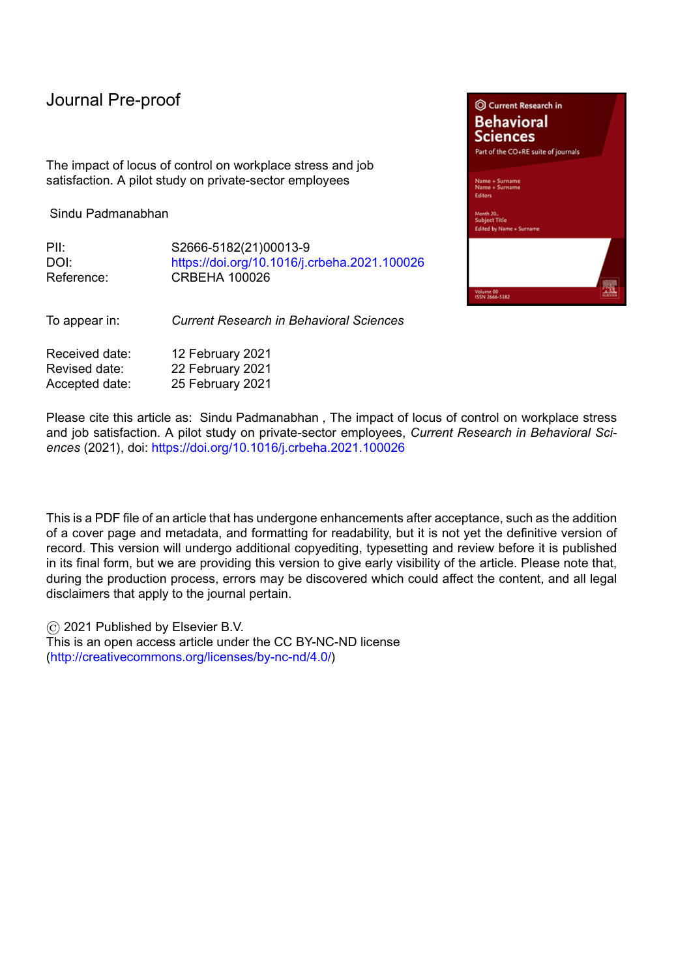The impact of locus of control on workplace stress and job satisfaction. A pilot study on private-sector employees

Sindu Padmanabhan

| Pll∶       | S2666-5182(21)00013-9                        |
|------------|----------------------------------------------|
| DOI:       | https://doi.org/10.1016/j.crbeha.2021.100026 |
| Reference: | CRBEHA 100026                                |

To appear in: *Current Research in Behavioral Sciences*

| Received date: | 12 February 2021 |
|----------------|------------------|
| Revised date:  | 22 February 2021 |
| Accepted date: | 25 February 2021 |

Please cite this article as: Sindu Padmanabhan , The impact of locus of control on workplace stress and job satisfaction. A pilot study on private-sector employees, *Current Research in Behavioral Sciences* (2021), doi: <https://doi.org/10.1016/j.crbeha.2021.100026>

This is a PDF file of an article that has undergone enhancements after acceptance, such as the addition of a cover page and metadata, and formatting for readability, but it is not yet the definitive version of record. This version will undergo additional copyediting, typesetting and review before it is published in its final form, but we are providing this version to give early visibility of the article. Please note that, during the production process, errors may be discovered which could affect the content, and all legal disclaimers that apply to the journal pertain.

© 2021 Published by Elsevier B.V. This is an open access article under the CC BY-NC-ND license [\(http://creativecommons.org/licenses/by-nc-nd/4.0/\)](http://creativecommons.org/licenses/by-nc-nd/4.0/)

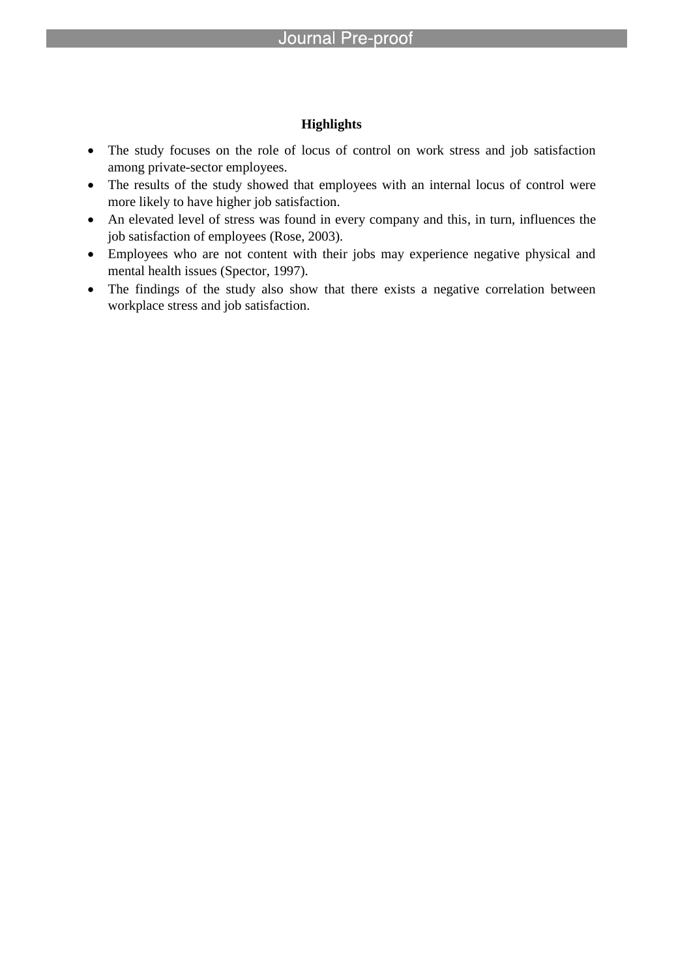### **Highlights**

- The study focuses on the role of locus of control on work stress and job satisfaction among private-sector employees.
- The results of the study showed that employees with an internal locus of control were more likely to have higher job satisfaction.
- An elevated level of stress was found in every company and this, in turn, influences the job satisfaction of employees (Rose, 2003).
- Employees who are not content with their jobs may experience negative physical and mental health issues (Spector, 1997).
- The findings of the study also show that there exists a negative correlation between workplace stress and job satisfaction.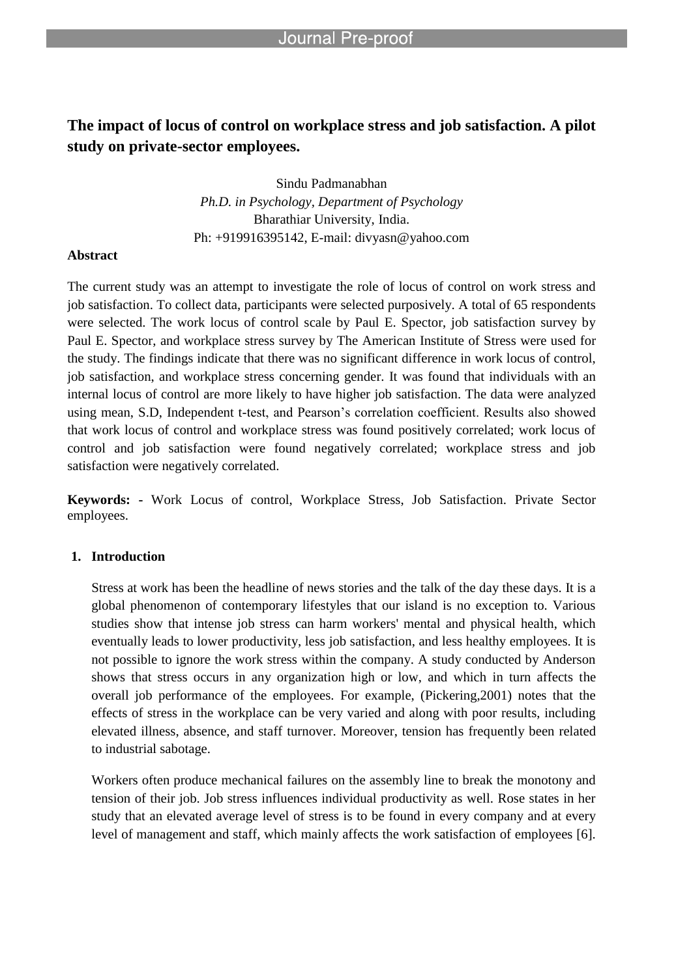# **The impact of locus of control on workplace stress and job satisfaction. A pilot study on private-sector employees.**

Sindu Padmanabhan *Ph.D. in Psychology, Department of Psychology*  Bharathiar University, India. Ph: +919916395142, E-mail: divyasn@yahoo.com

### **Abstract**

The current study was an attempt to investigate the role of locus of control on work stress and job satisfaction. To collect data, participants were selected purposively. A total of 65 respondents were selected. The work locus of control scale by Paul E. Spector, job satisfaction survey by Paul E. Spector, and workplace stress survey by The American Institute of Stress were used for the study. The findings indicate that there was no significant difference in work locus of control, job satisfaction, and workplace stress concerning gender. It was found that individuals with an internal locus of control are more likely to have higher job satisfaction. The data were analyzed using mean, S.D, Independent t-test, and Pearson's correlation coefficient. Results also showed that work locus of control and workplace stress was found positively correlated; work locus of control and job satisfaction were found negatively correlated; workplace stress and job satisfaction were negatively correlated.

**Keywords: -** Work Locus of control, Workplace Stress, Job Satisfaction. Private Sector employees.

### **1. Introduction**

Stress at work has been the headline of news stories and the talk of the day these days. It is a global phenomenon of contemporary lifestyles that our island is no exception to. Various studies show that intense job stress can harm workers' mental and physical health, which eventually leads to lower productivity, less job satisfaction, and less healthy employees. It is not possible to ignore the work stress within the company. A study conducted by Anderson shows that stress occurs in any organization high or low, and which in turn affects the overall job performance of the employees. For example, (Pickering,2001) notes that the effects of stress in the workplace can be very varied and along with poor results, including elevated illness, absence, and staff turnover. Moreover, tension has frequently been related to industrial sabotage.

Workers often produce mechanical failures on the assembly line to break the monotony and tension of their job. Job stress influences individual productivity as well. Rose states in her study that an elevated average level of stress is to be found in every company and at every level of management and staff, which mainly affects the work satisfaction of employees [6].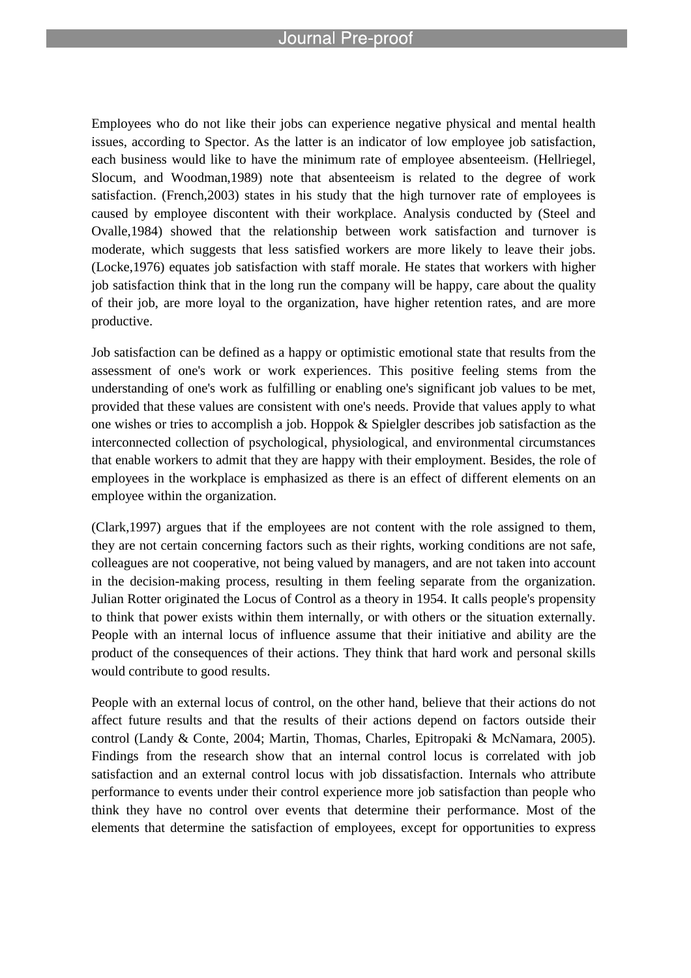Employees who do not like their jobs can experience negative physical and mental health issues, according to Spector. As the latter is an indicator of low employee job satisfaction, each business would like to have the minimum rate of employee absenteeism. (Hellriegel, Slocum, and Woodman,1989) note that absenteeism is related to the degree of work satisfaction. (French,2003) states in his study that the high turnover rate of employees is caused by employee discontent with their workplace. Analysis conducted by (Steel and Ovalle,1984) showed that the relationship between work satisfaction and turnover is moderate, which suggests that less satisfied workers are more likely to leave their jobs. (Locke,1976) equates job satisfaction with staff morale. He states that workers with higher job satisfaction think that in the long run the company will be happy, care about the quality of their job, are more loyal to the organization, have higher retention rates, and are more productive.

Job satisfaction can be defined as a happy or optimistic emotional state that results from the assessment of one's work or work experiences. This positive feeling stems from the understanding of one's work as fulfilling or enabling one's significant job values to be met, provided that these values are consistent with one's needs. Provide that values apply to what one wishes or tries to accomplish a job. Hoppok & Spielgler describes job satisfaction as the interconnected collection of psychological, physiological, and environmental circumstances that enable workers to admit that they are happy with their employment. Besides, the role of employees in the workplace is emphasized as there is an effect of different elements on an employee within the organization.

(Clark,1997) argues that if the employees are not content with the role assigned to them, they are not certain concerning factors such as their rights, working conditions are not safe, colleagues are not cooperative, not being valued by managers, and are not taken into account in the decision-making process, resulting in them feeling separate from the organization. Julian Rotter originated the Locus of Control as a theory in 1954. It calls people's propensity to think that power exists within them internally, or with others or the situation externally. People with an internal locus of influence assume that their initiative and ability are the product of the consequences of their actions. They think that hard work and personal skills would contribute to good results.

People with an external locus of control, on the other hand, believe that their actions do not affect future results and that the results of their actions depend on factors outside their control (Landy & Conte, 2004; Martin, Thomas, Charles, Epitropaki & McNamara, 2005). Findings from the research show that an internal control locus is correlated with job satisfaction and an external control locus with job dissatisfaction. Internals who attribute performance to events under their control experience more job satisfaction than people who think they have no control over events that determine their performance. Most of the elements that determine the satisfaction of employees, except for opportunities to express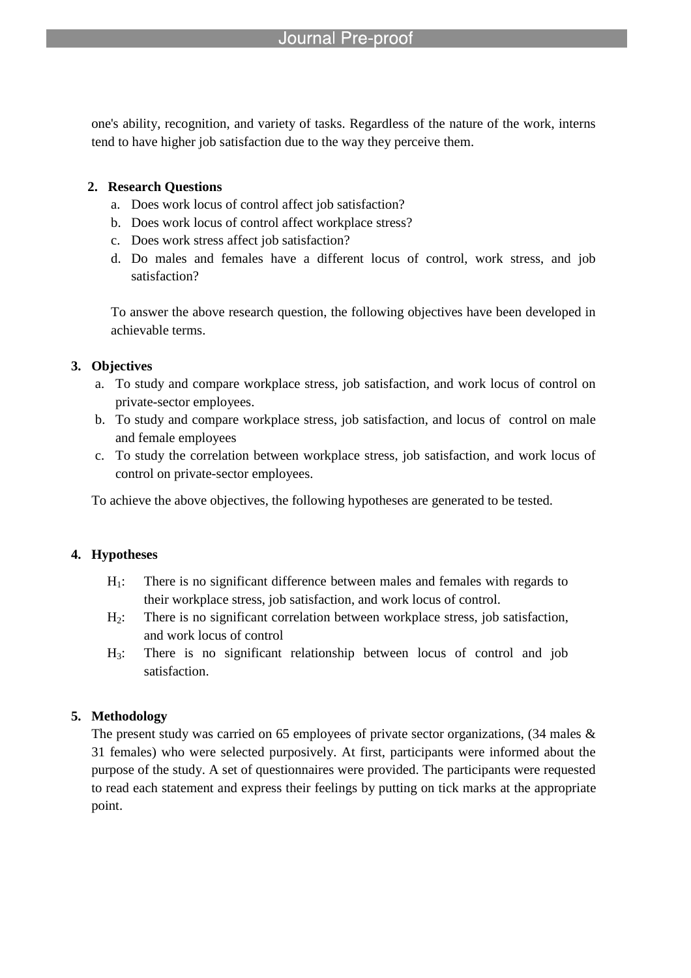one's ability, recognition, and variety of tasks. Regardless of the nature of the work, interns tend to have higher job satisfaction due to the way they perceive them.

# **2. Research Questions**

- a. Does work locus of control affect job satisfaction?
- b. Does work locus of control affect workplace stress?
- c. Does work stress affect job satisfaction?
- d. Do males and females have a different locus of control, work stress, and job satisfaction?

To answer the above research question, the following objectives have been developed in achievable terms.

# **3. Objectives**

- a. To study and compare workplace stress, job satisfaction, and work locus of control on private-sector employees.
- b. To study and compare workplace stress, job satisfaction, and locus of control on male and female employees
- c. To study the correlation between workplace stress, job satisfaction, and work locus of control on private-sector employees.

To achieve the above objectives, the following hypotheses are generated to be tested.

# **4. Hypotheses**

- $H_1$ : There is no significant difference between males and females with regards to their workplace stress, job satisfaction, and work locus of control.
- H2: There is no significant correlation between workplace stress, job satisfaction, and work locus of control
- H3: There is no significant relationship between locus of control and job satisfaction.

# **5. Methodology**

The present study was carried on 65 employees of private sector organizations, (34 males & 31 females) who were selected purposively. At first, participants were informed about the purpose of the study. A set of questionnaires were provided. The participants were requested to read each statement and express their feelings by putting on tick marks at the appropriate point.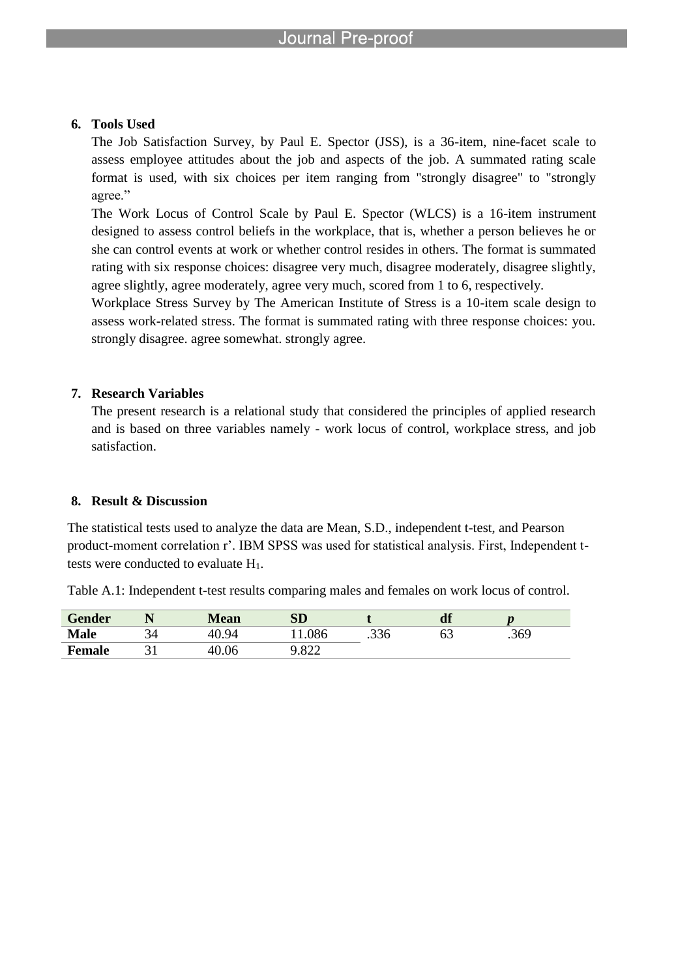### **6. Tools Used**

The Job Satisfaction Survey, by Paul E. Spector (JSS), is a 36-item, nine-facet scale to assess employee attitudes about the job and aspects of the job. A summated rating scale format is used, with six choices per item ranging from "strongly disagree" to "strongly agree."

The Work Locus of Control Scale by Paul E. Spector (WLCS) is a 16-item instrument designed to assess control beliefs in the workplace, that is, whether a person believes he or she can control events at work or whether control resides in others. The format is summated rating with six response choices: disagree very much, disagree moderately, disagree slightly, agree slightly, agree moderately, agree very much, scored from 1 to 6, respectively.

Workplace Stress Survey by The American Institute of Stress is a 10-item scale design to assess work-related stress. The format is summated rating with three response choices: you. strongly disagree. agree somewhat. strongly agree.

# **7. Research Variables**

The present research is a relational study that considered the principles of applied research and is based on three variables namely - work locus of control, workplace stress, and job satisfaction.

# **8. Result & Discussion**

The statistical tests used to analyze the data are Mean, S.D., independent t-test, and Pearson product-moment correlation r'. IBM SPSS was used for statistical analysis. First, Independent ttests were conducted to evaluate  $H_1$ .

| <b>Gender</b> |   | <b>Mean</b>   | SD                              |      | df |      |  |
|---------------|---|---------------|---------------------------------|------|----|------|--|
| <b>Male</b>   | ້ | 40.5<br>$Q_4$ | 11.086                          | .336 | 63 | .369 |  |
| <b>Female</b> |   | 4Λ<br>40.06   | റററ<br>$\overline{\phantom{a}}$ |      |    |      |  |

Table A.1: Independent t-test results comparing males and females on work locus of control.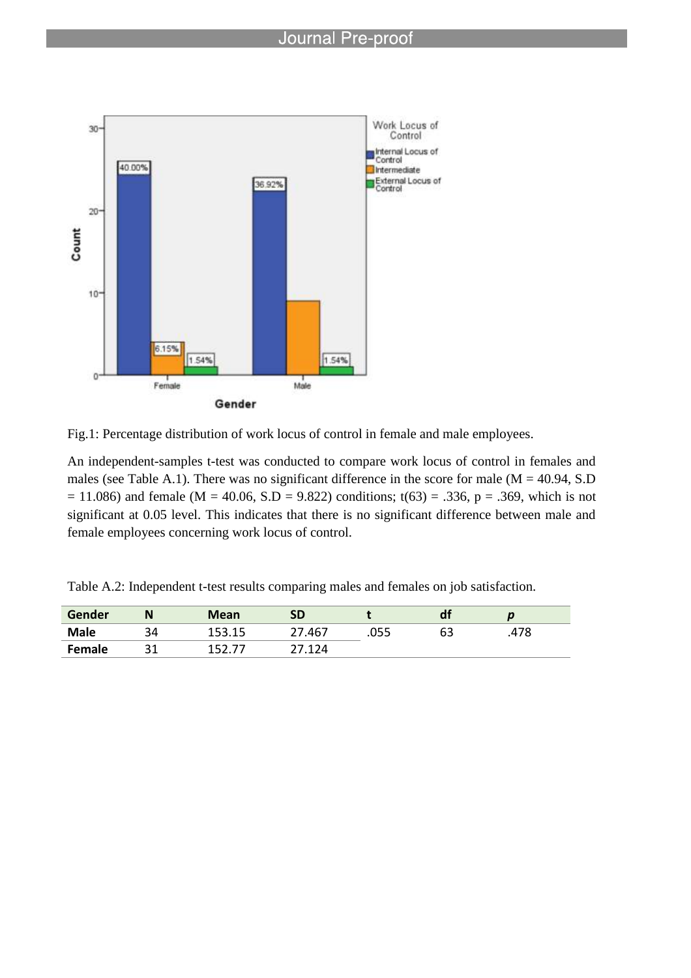



An independent-samples t-test was conducted to compare work locus of control in females and males (see Table A.1). There was no significant difference in the score for male ( $M = 40.94$ , S.D  $= 11.086$ ) and female (M = 40.06, S.D = 9.822) conditions; t(63) = .336, p = .369, which is not significant at 0.05 level. This indicates that there is no significant difference between male and female employees concerning work locus of control.

Table A.2: Independent t-test results comparing males and females on job satisfaction.

| Gender      | N       | <b>Mean</b> | <b>SD</b> |      | a. |      |
|-------------|---------|-------------|-----------|------|----|------|
| <b>Male</b> | 34<br>◡ | 153.15      | .467      | .055 | 63 | .478 |
| Female      | 21      |             | 17 174    |      |    |      |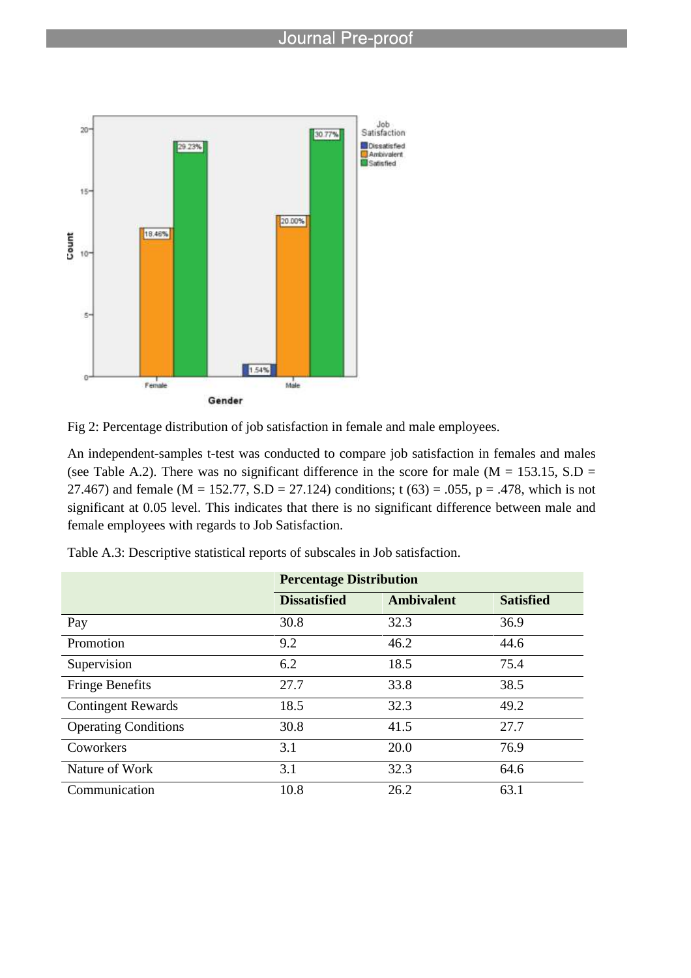



An independent-samples t-test was conducted to compare job satisfaction in females and males (see Table A.2). There was no significant difference in the score for male ( $M = 153.15$ , S.D = 27.467) and female (M = 152.77, S.D = 27.124) conditions; t (63) = .055, p = .478, which is not significant at 0.05 level. This indicates that there is no significant difference between male and female employees with regards to Job Satisfaction.

|                             | <b>Percentage Distribution</b> |                   |                  |
|-----------------------------|--------------------------------|-------------------|------------------|
|                             | <b>Dissatisfied</b>            | <b>Ambivalent</b> | <b>Satisfied</b> |
| Pay                         | 30.8                           | 32.3              | 36.9             |
| Promotion                   | 9.2                            | 46.2              | 44.6             |
| Supervision                 | 6.2                            | 18.5              | 75.4             |
| <b>Fringe Benefits</b>      | 27.7                           | 33.8              | 38.5             |
| <b>Contingent Rewards</b>   | 18.5                           | 32.3              | 49.2             |
| <b>Operating Conditions</b> | 30.8                           | 41.5              | 27.7             |
| Coworkers                   | 3.1                            | 20.0              | 76.9             |
| Nature of Work              | 3.1                            | 32.3              | 64.6             |
| Communication               | 10.8                           | 26.2              | 63.1             |

Table A.3: Descriptive statistical reports of subscales in Job satisfaction.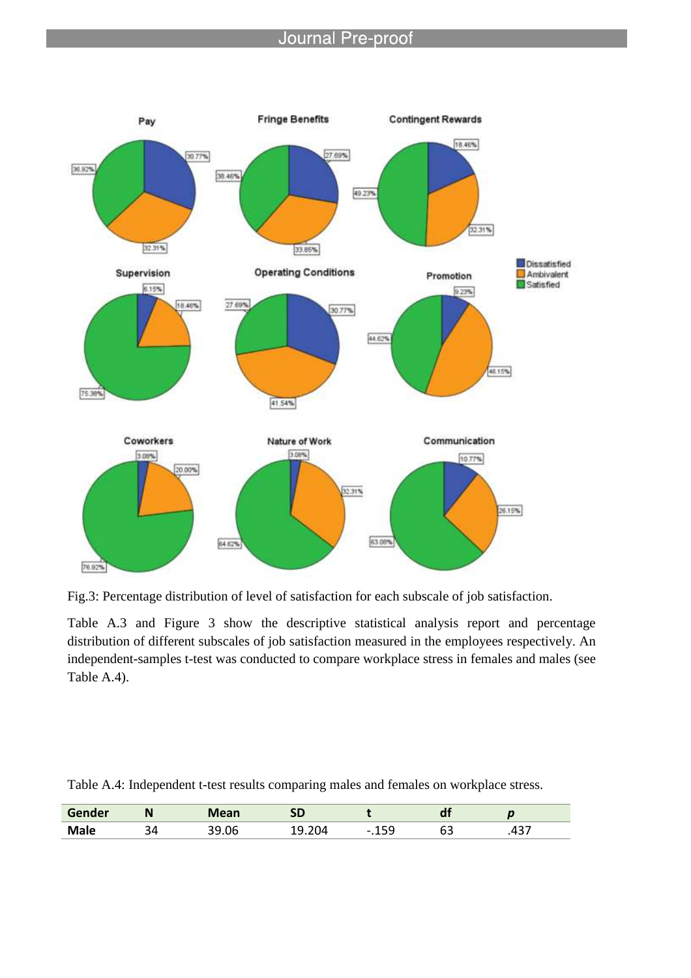

Fig.3: Percentage distribution of level of satisfaction for each subscale of job satisfaction.

Table A.3 and Figure 3 show the descriptive statistical analysis report and percentage distribution of different subscales of job satisfaction measured in the employees respectively. An independent-samples t-test was conducted to compare workplace stress in females and males (see Table A.4).

| Table A.4: Independent t-test results comparing males and females on workplace stress. |  |  |  |  |  |  |  |
|----------------------------------------------------------------------------------------|--|--|--|--|--|--|--|
|                                                                                        |  |  |  |  |  |  |  |

| Gender      | <br>N        |      | <b>SD</b> |             | <u>u</u>              | $\sim$ |
|-------------|--------------|------|-----------|-------------|-----------------------|--------|
| <b>Male</b> | $\sim$<br>54 | 9.06 | ıД<br>ີ   | $\sim$<br>. | r -<br><u>.</u><br>ັບ | , די   |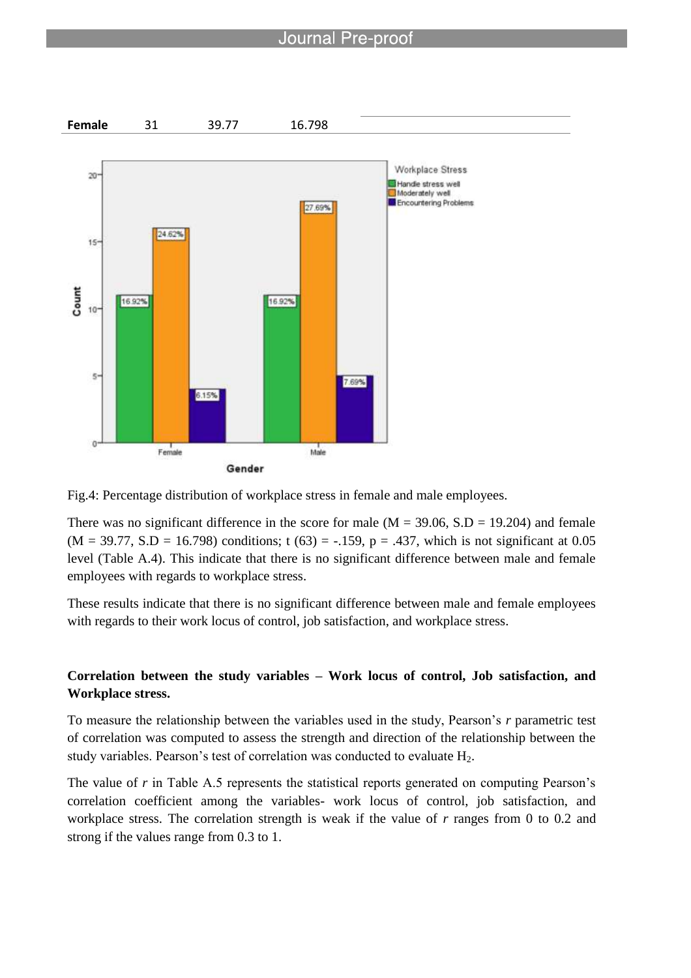



There was no significant difference in the score for male  $(M = 39.06, S.D = 19.204)$  and female  $(M = 39.77, S.D = 16.798)$  conditions; t  $(63) = -.159$ , p = .437, which is not significant at 0.05 level (Table A.4). This indicate that there is no significant difference between male and female employees with regards to workplace stress.

These results indicate that there is no significant difference between male and female employees with regards to their work locus of control, job satisfaction, and workplace stress.

# **Correlation between the study variables – Work locus of control, Job satisfaction, and Workplace stress.**

To measure the relationship between the variables used in the study, Pearson's *r* parametric test of correlation was computed to assess the strength and direction of the relationship between the study variables. Pearson's test of correlation was conducted to evaluate  $H_2$ .

The value of *r* in Table A.5 represents the statistical reports generated on computing Pearson's correlation coefficient among the variables- work locus of control, job satisfaction, and workplace stress. The correlation strength is weak if the value of *r* ranges from 0 to 0.2 and strong if the values range from 0.3 to 1.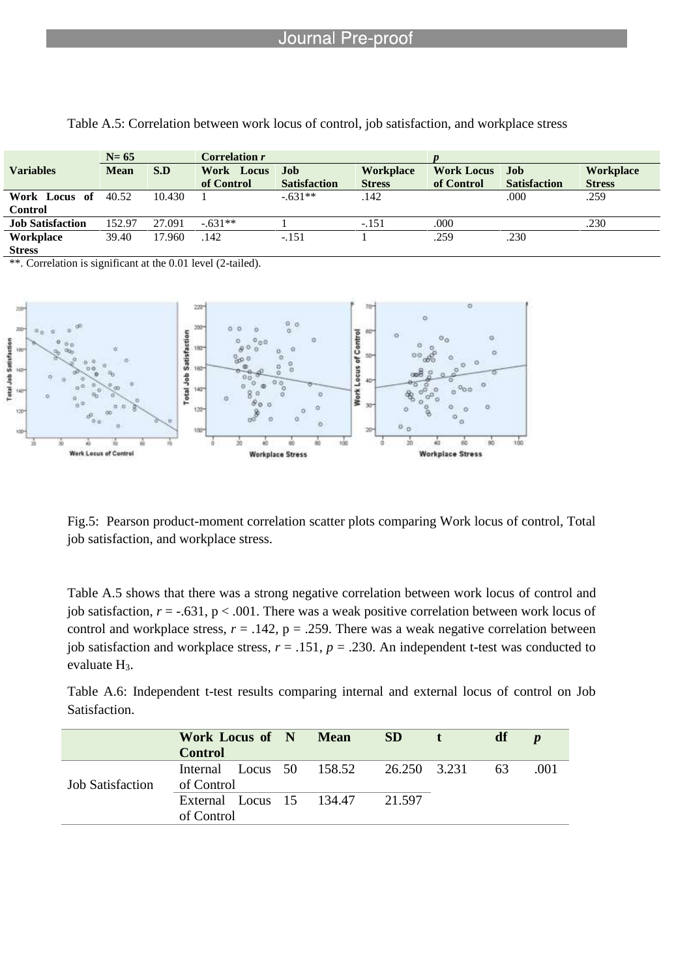|                         | $N=65$      |        | Correlation r |                     |                  |                   |                     |                  |
|-------------------------|-------------|--------|---------------|---------------------|------------------|-------------------|---------------------|------------------|
| <b>Variables</b>        | <b>Mean</b> | S.D    | Work Locus    | <b>Job</b>          | <b>Workplace</b> | <b>Work Locus</b> | Job                 | <b>Workplace</b> |
|                         |             |        | of Control    | <b>Satisfaction</b> | <b>Stress</b>    | of Control        | <b>Satisfaction</b> | <b>Stress</b>    |
| Work Locus of           | 40.52       | 10.430 |               | $-.631**$           | .142             |                   | .000                | .259             |
| <b>Control</b>          |             |        |               |                     |                  |                   |                     |                  |
| <b>Job Satisfaction</b> | 152.97      | 27.091 | $-631**$      |                     | $-.151$          | .000              |                     | .230             |
| Workplace               | 39.40       | 17.960 | .142          | $-.151$             |                  | .259              | .230                |                  |
| <b>Stress</b>           |             |        |               |                     |                  |                   |                     |                  |

Table A.5: Correlation between work locus of control, job satisfaction, and workplace stress

\*\*. Correlation is significant at the 0.01 level (2-tailed).



Fig.5: Pearson product-moment correlation scatter plots comparing Work locus of control, Total job satisfaction, and workplace stress.

Table A.5 shows that there was a strong negative correlation between work locus of control and job satisfaction,  $r = -.631$ ,  $p < .001$ . There was a weak positive correlation between work locus of control and workplace stress,  $r = .142$ ,  $p = .259$ . There was a weak negative correlation between job satisfaction and workplace stress,  $r = .151$ ,  $p = .230$ . An independent t-test was conducted to evaluate  $H_3$ .

Table A.6: Independent t-test results comparing internal and external locus of control on Job Satisfaction.

|                         | Work Locus of N Mean<br><b>Control</b>                 |  | SD <sub>1</sub> | df | $\boldsymbol{p}$ |
|-------------------------|--------------------------------------------------------|--|-----------------|----|------------------|
| <b>Job Satisfaction</b> | Internal Locus 50 158.52 26.250 3.231 63<br>of Control |  |                 |    | .001             |
|                         | External Locus 15 134.47<br>of Control                 |  | 21.597          |    |                  |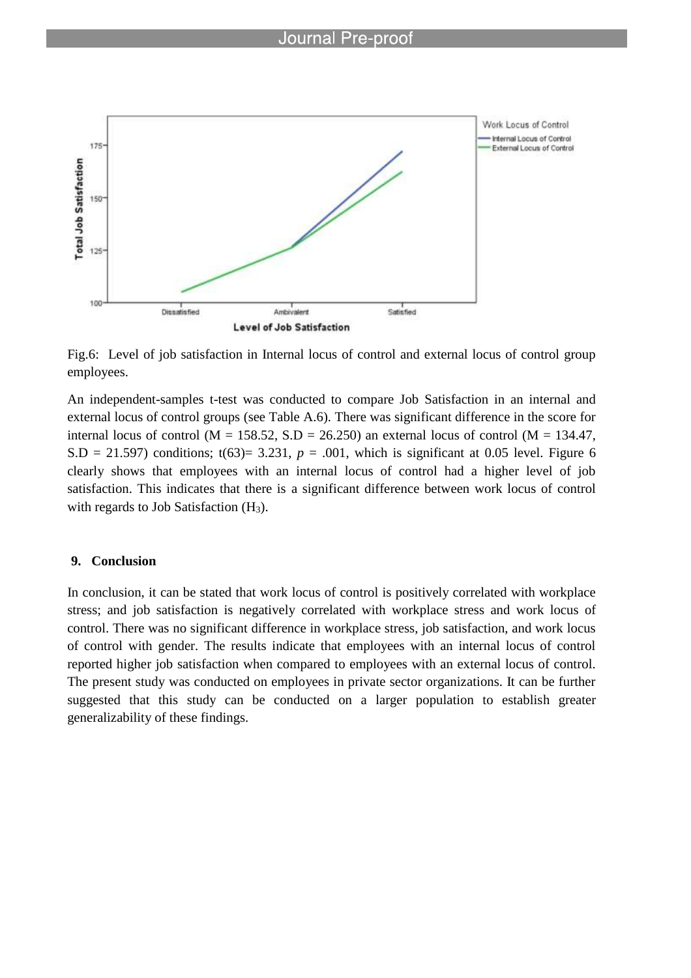

Fig.6: Level of job satisfaction in Internal locus of control and external locus of control group employees.

An independent-samples t-test was conducted to compare Job Satisfaction in an internal and external locus of control groups (see Table A.6). There was significant difference in the score for internal locus of control ( $M = 158.52$ ,  $S.D = 26.250$ ) an external locus of control ( $M = 134.47$ ,  $S.D = 21.597$ ) conditions;  $t(63) = 3.231$ ,  $p = .001$ , which is significant at 0.05 level. Figure 6 clearly shows that employees with an internal locus of control had a higher level of job satisfaction. This indicates that there is a significant difference between work locus of control with regards to Job Satisfaction  $(H_3)$ .

#### **9. Conclusion**

In conclusion, it can be stated that work locus of control is positively correlated with workplace stress; and job satisfaction is negatively correlated with workplace stress and work locus of control. There was no significant difference in workplace stress, job satisfaction, and work locus of control with gender. The results indicate that employees with an internal locus of control reported higher job satisfaction when compared to employees with an external locus of control. The present study was conducted on employees in private sector organizations. It can be further suggested that this study can be conducted on a larger population to establish greater generalizability of these findings.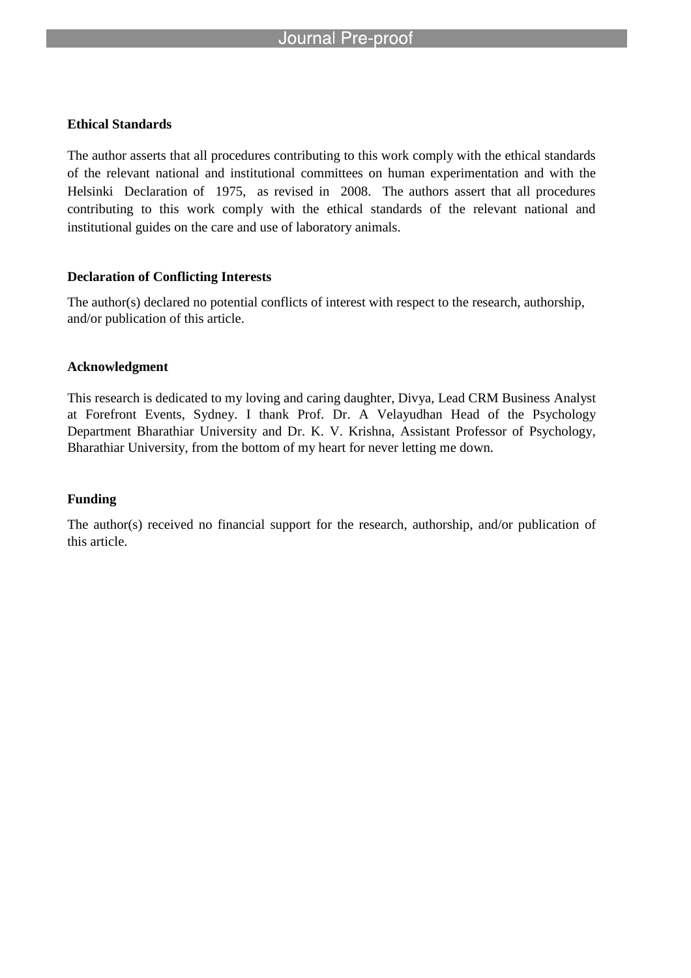### **Ethical Standards**

The author asserts that all procedures contributing to this work comply with the ethical standards of the relevant national and institutional committees on human experimentation and with the Helsinki Declaration of 1975, as revised in 2008. The authors assert that all procedures contributing to this work comply with the ethical standards of the relevant national and institutional guides on the care and use of laboratory animals.

# **Declaration of Conflicting Interests**

The author(s) declared no potential conflicts of interest with respect to the research, authorship, and/or publication of this article.

### **Acknowledgment**

This research is dedicated to my loving and caring daughter, Divya, Lead CRM Business Analyst at Forefront Events, Sydney. I thank Prof. Dr. A Velayudhan Head of the Psychology Department Bharathiar University and Dr. K. V. Krishna, Assistant Professor of Psychology, Bharathiar University, from the bottom of my heart for never letting me down.

# **Funding**

The author(s) received no financial support for the research, authorship, and/or publication of this article.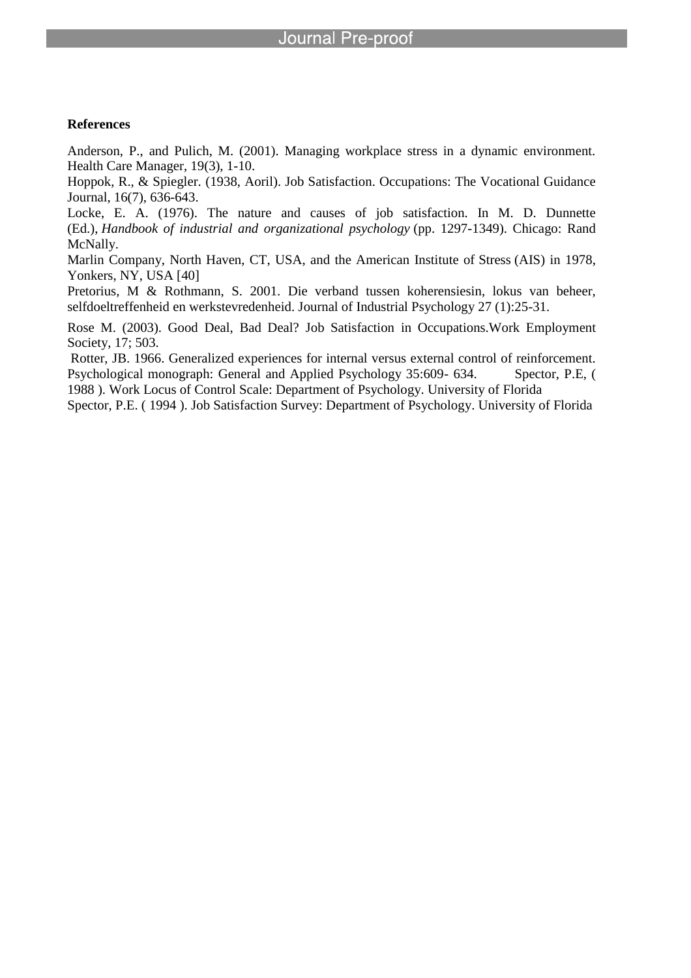#### **References**

Anderson, P., and Pulich, M. (2001). Managing workplace stress in a dynamic environment. Health Care Manager, 19(3), 1-10.

Hoppok, R., & Spiegler. (1938, Aoril). Job Satisfaction. Occupations: The Vocational Guidance Journal, 16(7), 636-643.

Locke, E. A. (1976). The nature and causes of job satisfaction. In M. D. Dunnette (Ed.), *Handbook of industrial and organizational psychology* (pp. 1297-1349). Chicago: Rand McNally.

Marlin Company, North Haven, CT, USA, and the American Institute of Stress (AIS) in 1978, Yonkers, NY, USA [40]

Pretorius, M & Rothmann, S. 2001. Die verband tussen koherensiesin, lokus van beheer, selfdoeltreffenheid en werkstevredenheid. Journal of Industrial Psychology 27 (1):25-31.

Rose M. (2003). Good Deal, Bad Deal? Job Satisfaction in Occupations.Work Employment Society, 17; 503.

Rotter, JB. 1966. Generalized experiences for internal versus external control of reinforcement. Psychological monograph: General and Applied Psychology 35:609- 634. Spector, P.E, ( 1988 ). Work Locus of Control Scale: Department of Psychology. University of Florida

Spector, P.E. ( 1994 ). Job Satisfaction Survey: Department of Psychology. University of Florida